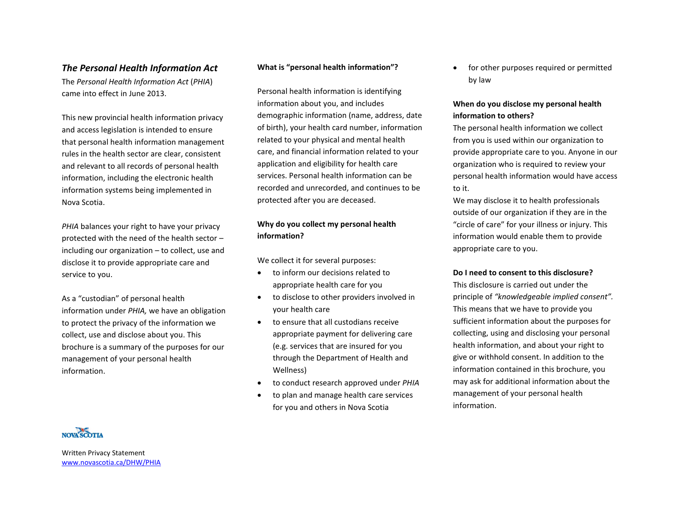## *The Personal Health Information Act*

The *Personal Health Information Act* (*PHIA*) came into effect in June 2013.

This new provincial health information privacy and access legislation is intended to ensure that personal health information management rules in the health sector are clear, consistent and relevant to all records of personal health information, including the electronic health information systems being implemented in Nova Scotia.

*PHIA* balances your right to have your privacy protected with the need of the health sector – including our organization – to collect, use and disclose it to provide appropriate care and service to you.

As a "custodian" of personal health information under *PHIA,* we have an obligation to protect the privacy of the information we collect, use and disclose about you. This brochure is a summary of the purposes for our management of your personal health information.

### **What is "personal health information"?**

Personal health information is identifying information about you, and includes demographic information (name, address, date of birth), your health card number, information related to your physical and mental health care, and financial information related to your application and eligibility for health care services. Personal health information can be recorded and unrecorded, and continues to be protected after you are deceased.

# **Why do you collect my personal health information?**

We collect it for several purposes:

- to inform our decisions related to appropriate health care for you
- to disclose to other providers involved in your health care
- to ensure that all custodians receive appropriate payment for delivering care (e.g. services that are insured for you through the Department of Health and Wellness)
- to conduct research approved under *PHIA*
- to plan and manage health care services for you and others in Nova Scotia

• for other purposes required or permitted by law

## **When do you disclose my personal health information to others?**

The personal health information we collect from you is used within our organization to provide appropriate care to you. Anyone in our organization who is required to review your personal health information would have access to it.

We may disclose it to health professionals outside of our organization if they are in the "circle of care" for your illness or injury. This information would enable them to provide appropriate care to you.

### **Do I need to consent to this disclosure?**

This disclosure is carried out under the principle of *"knowledgeable implied consent".* This means that we have to provide you sufficient information about the purposes for collecting, using and disclosing your personal health information, and about your right to give or withhold consent. In addition to the information contained in this brochure, you may ask for additional information about the management of your personal health information.



Written Privacy Statement [www.novascotia.ca/DHW/PHIA](http://www.novascotia.ca/DHW/PHIA)